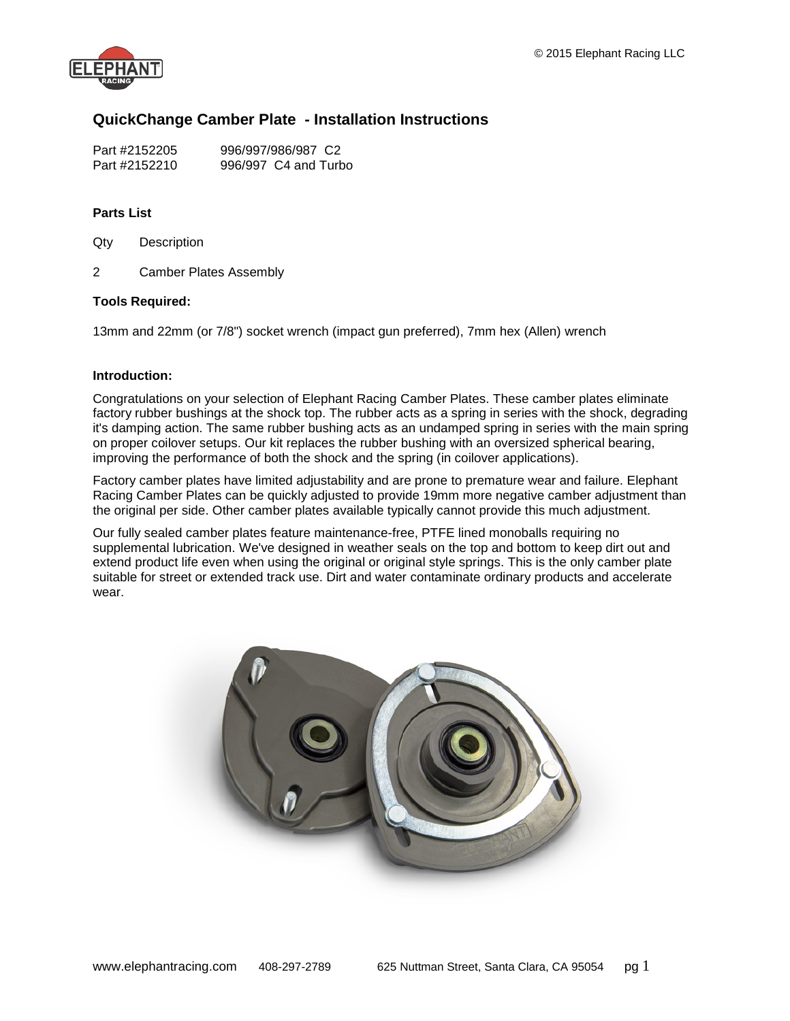

# **QuickChange Camber Plate - Installation Instructions**

| Part #2152205 | 996/997/986/987 C2   |
|---------------|----------------------|
| Part #2152210 | 996/997 C4 and Turbo |

# **Parts List**

- Qty Description
- 2 Camber Plates Assembly

# **Tools Required:**

13mm and 22mm (or 7/8") socket wrench (impact gun preferred), 7mm hex (Allen) wrench

# **Introduction:**

Congratulations on your selection of Elephant Racing Camber Plates. These camber plates eliminate factory rubber bushings at the shock top. The rubber acts as a spring in series with the shock, degrading it's damping action. The same rubber bushing acts as an undamped spring in series with the main spring on proper coilover setups. Our kit replaces the rubber bushing with an oversized spherical bearing, improving the performance of both the shock and the spring (in coilover applications).

Factory camber plates have limited adjustability and are prone to premature wear and failure. Elephant Racing Camber Plates can be quickly adjusted to provide 19mm more negative camber adjustment than the original per side. Other camber plates available typically cannot provide this much adjustment.

Our fully sealed camber plates feature maintenance-free, PTFE lined monoballs requiring no supplemental lubrication. We've designed in weather seals on the top and bottom to keep dirt out and extend product life even when using the original or original style springs. This is the only camber plate suitable for street or extended track use. Dirt and water contaminate ordinary products and accelerate wear.

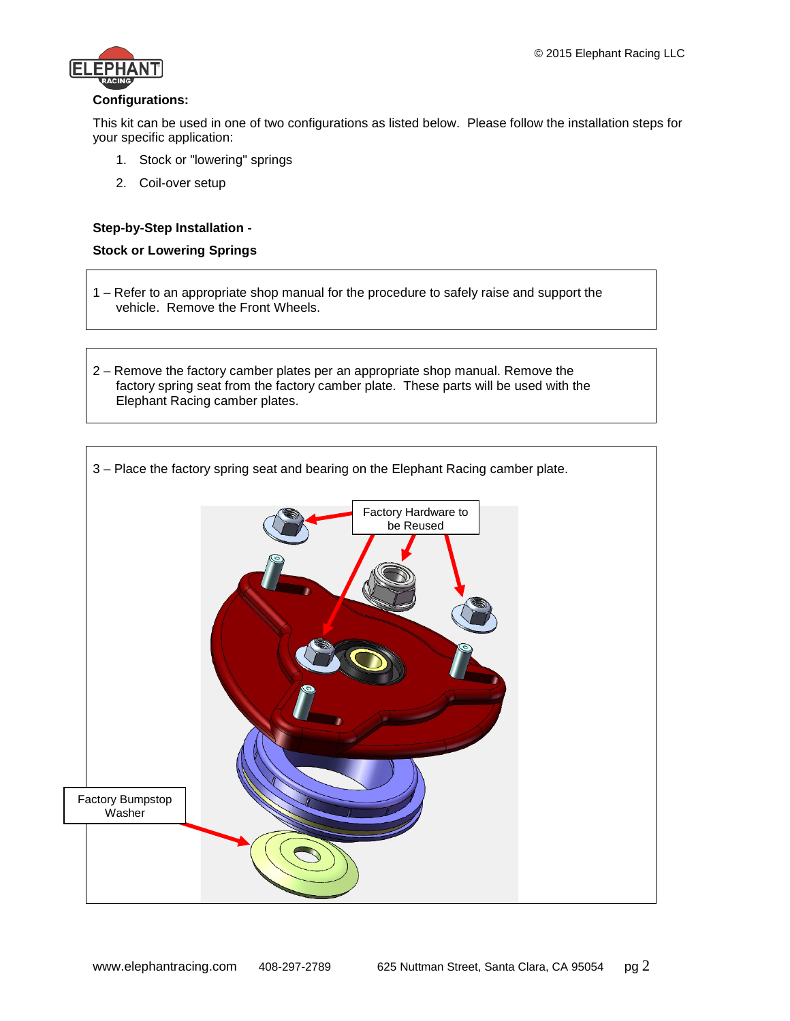

## **Configurations:**

This kit can be used in one of two configurations as listed below. Please follow the installation steps for your specific application:

- 1. Stock or "lowering" springs
- 2. Coil-over setup

## **Step-by-Step Installation -**

#### **Stock or Lowering Springs**

- 1 Refer to an appropriate shop manual for the procedure to safely raise and support the vehicle. Remove the Front Wheels.
- 2 Remove the factory camber plates per an appropriate shop manual. Remove the factory spring seat from the factory camber plate. These parts will be used with the Elephant Racing camber plates.

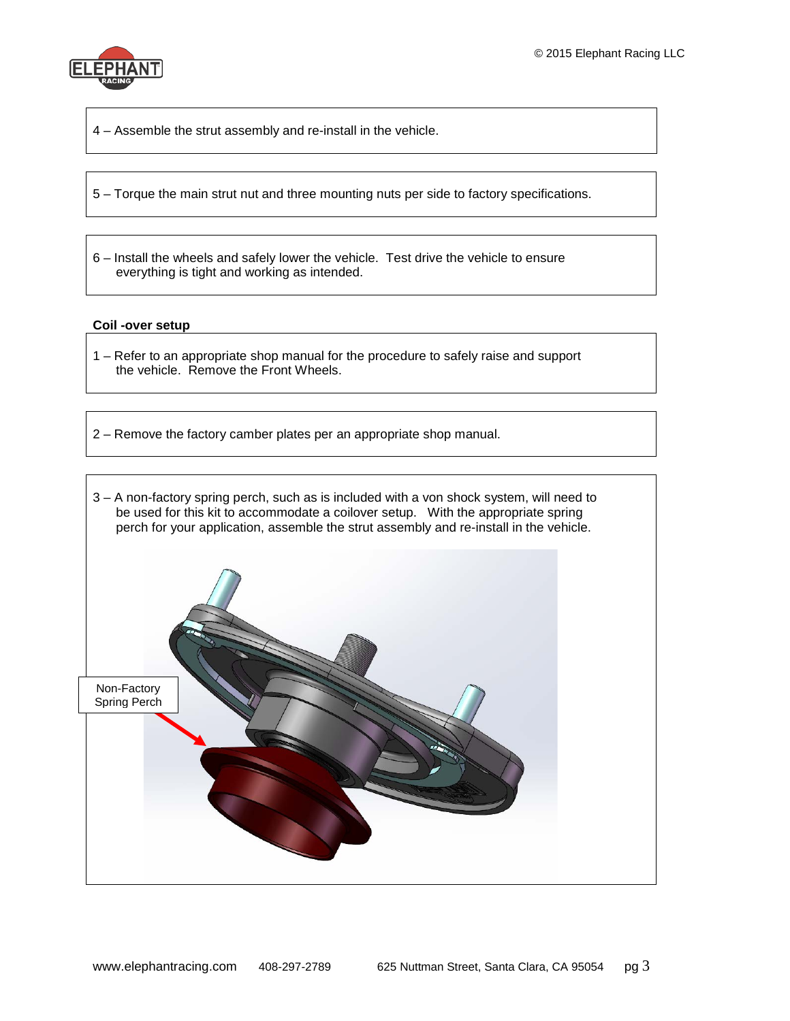

4 – Assemble the strut assembly and re-install in the vehicle.

5 – Torque the main strut nut and three mounting nuts per side to factory specifications.

6 – Install the wheels and safely lower the vehicle. Test drive the vehicle to ensure everything is tight and working as intended.

#### **Coil -over setup**

- 1 Refer to an appropriate shop manual for the procedure to safely raise and support the vehicle. Remove the Front Wheels.
- 2 Remove the factory camber plates per an appropriate shop manual.